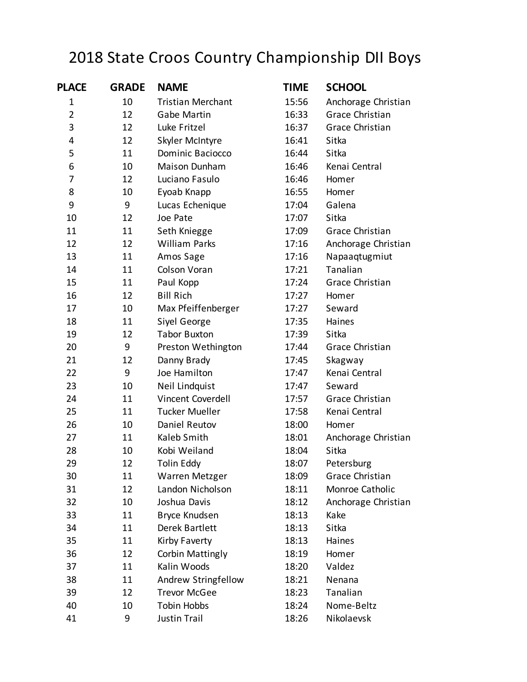## 2018 State Croos Country Championship DII Boys

| <b>PLACE</b>   | <b>GRADE</b> | <b>NAME</b>              | <b>TIME</b> | <b>SCHOOL</b>          |
|----------------|--------------|--------------------------|-------------|------------------------|
| 1              | 10           | <b>Tristian Merchant</b> | 15:56       | Anchorage Christian    |
| $\overline{2}$ | 12           | Gabe Martin              | 16:33       | <b>Grace Christian</b> |
| 3              | 12           | Luke Fritzel             | 16:37       | Grace Christian        |
| 4              | 12           | Skyler McIntyre          | 16:41       | Sitka                  |
| 5              | 11           | Dominic Baciocco         | 16:44       | Sitka                  |
| 6              | 10           | Maison Dunham            | 16:46       | Kenai Central          |
| 7              | 12           | Luciano Fasulo           | 16:46       | Homer                  |
| 8              | 10           | Eyoab Knapp              | 16:55       | Homer                  |
| 9              | 9            | Lucas Echenique          | 17:04       | Galena                 |
| 10             | 12           | Joe Pate                 | 17:07       | Sitka                  |
| 11             | 11           | Seth Kniegge             | 17:09       | Grace Christian        |
| 12             | 12           | <b>William Parks</b>     | 17:16       | Anchorage Christian    |
| 13             | 11           | Amos Sage                | 17:16       | Napaaqtugmiut          |
| 14             | 11           | Colson Voran             | 17:21       | Tanalian               |
| 15             | 11           | Paul Kopp                | 17:24       | Grace Christian        |
| 16             | 12           | <b>Bill Rich</b>         | 17:27       | Homer                  |
| 17             | 10           | Max Pfeiffenberger       | 17:27       | Seward                 |
| 18             | 11           | Siyel George             | 17:35       | Haines                 |
| 19             | 12           | <b>Tabor Buxton</b>      | 17:39       | Sitka                  |
| 20             | 9            | Preston Wethington       | 17:44       | Grace Christian        |
| 21             | 12           | Danny Brady              | 17:45       | Skagway                |
| 22             | 9            | Joe Hamilton             | 17:47       | Kenai Central          |
| 23             | 10           | Neil Lindquist           | 17:47       | Seward                 |
| 24             | 11           | Vincent Coverdell        | 17:57       | Grace Christian        |
| 25             | 11           | <b>Tucker Mueller</b>    | 17:58       | Kenai Central          |
| 26             | 10           | Daniel Reutov            | 18:00       | Homer                  |
| 27             | 11           | Kaleb Smith              | 18:01       | Anchorage Christian    |
| 28             | 10           | Kobi Weiland             | 18:04       | Sitka                  |
| 29             | 12           | Tolin Eddy               | 18:07       | Petersburg             |
| 30             | 11           | Warren Metzger           | 18:09       | Grace Christian        |
| 31             | 12           | Landon Nicholson         | 18:11       | Monroe Catholic        |
| 32             | 10           | Joshua Davis             | 18:12       | Anchorage Christian    |
| 33             | 11           | Bryce Knudsen            | 18:13       | Kake                   |
| 34             | 11           | Derek Bartlett           | 18:13       | Sitka                  |
| 35             | 11           | Kirby Faverty            | 18:13       | Haines                 |
| 36             | 12           | <b>Corbin Mattingly</b>  | 18:19       | Homer                  |
| 37             | 11           | Kalin Woods              | 18:20       | Valdez                 |
| 38             | 11           | Andrew Stringfellow      | 18:21       | Nenana                 |
| 39             | 12           | <b>Trevor McGee</b>      | 18:23       | Tanalian               |
| 40             | 10           | Tobin Hobbs              | 18:24       | Nome-Beltz             |
| 41             | 9            | Justin Trail             | 18:26       | Nikolaevsk             |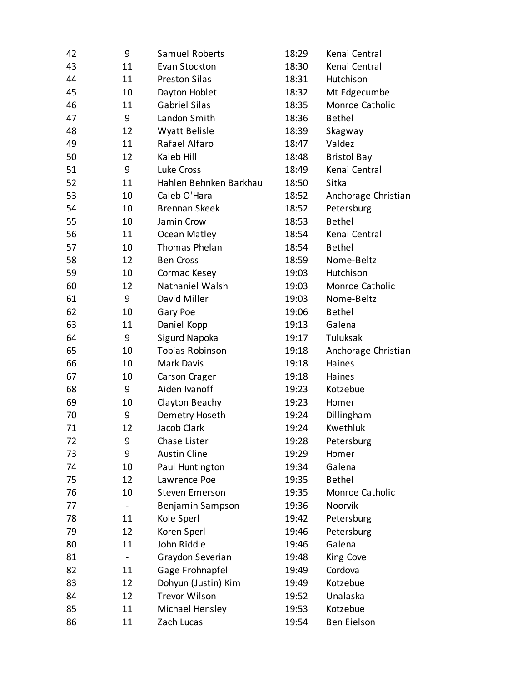| 42 | 9  | Samuel Roberts         | 18:29 | Kenai Central       |
|----|----|------------------------|-------|---------------------|
| 43 | 11 | Evan Stockton          | 18:30 | Kenai Central       |
| 44 | 11 | <b>Preston Silas</b>   | 18:31 | Hutchison           |
| 45 | 10 | Dayton Hoblet          | 18:32 | Mt Edgecumbe        |
| 46 | 11 | <b>Gabriel Silas</b>   | 18:35 | Monroe Catholic     |
| 47 | 9  | Landon Smith           | 18:36 | <b>Bethel</b>       |
| 48 | 12 | Wyatt Belisle          | 18:39 | Skagway             |
| 49 | 11 | Rafael Alfaro          | 18:47 | Valdez              |
| 50 | 12 | Kaleb Hill             | 18:48 | <b>Bristol Bay</b>  |
| 51 | 9  | Luke Cross             | 18:49 | Kenai Central       |
| 52 | 11 | Hahlen Behnken Barkhau | 18:50 | Sitka               |
| 53 | 10 | Caleb O'Hara           | 18:52 | Anchorage Christian |
| 54 | 10 | <b>Brennan Skeek</b>   | 18:52 | Petersburg          |
| 55 | 10 | Jamin Crow             | 18:53 | <b>Bethel</b>       |
| 56 | 11 | Ocean Matley           | 18:54 | Kenai Central       |
| 57 | 10 | Thomas Phelan          | 18:54 | <b>Bethel</b>       |
| 58 | 12 | <b>Ben Cross</b>       | 18:59 | Nome-Beltz          |
| 59 | 10 | Cormac Kesey           | 19:03 | Hutchison           |
| 60 | 12 | Nathaniel Walsh        | 19:03 | Monroe Catholic     |
| 61 | 9  | David Miller           | 19:03 | Nome-Beltz          |
| 62 | 10 | Gary Poe               | 19:06 | <b>Bethel</b>       |
| 63 | 11 | Daniel Kopp            | 19:13 | Galena              |
| 64 | 9  | Sigurd Napoka          | 19:17 | Tuluksak            |
| 65 | 10 | <b>Tobias Robinson</b> | 19:18 | Anchorage Christian |
| 66 | 10 | <b>Mark Davis</b>      | 19:18 | Haines              |
| 67 | 10 | Carson Crager          | 19:18 | Haines              |
| 68 | 9  | Aiden Ivanoff          | 19:23 | Kotzebue            |
| 69 | 10 | Clayton Beachy         | 19:23 | Homer               |
| 70 | 9  | Demetry Hoseth         | 19:24 | Dillingham          |
| 71 | 12 | Jacob Clark            | 19:24 | Kwethluk            |
| 72 | 9  | Chase Lister           | 19:28 | Petersburg          |
| 73 | 9  | <b>Austin Cline</b>    | 19:29 | Homer               |
| 74 | 10 | Paul Huntington        | 19:34 | Galena              |
| 75 | 12 | Lawrence Poe           | 19:35 | <b>Bethel</b>       |
| 76 | 10 | <b>Steven Emerson</b>  | 19:35 | Monroe Catholic     |
| 77 |    | Benjamin Sampson       | 19:36 | Noorvik             |
| 78 | 11 | Kole Sperl             | 19:42 | Petersburg          |
| 79 | 12 | Koren Sperl            | 19:46 | Petersburg          |
| 80 | 11 | John Riddle            | 19:46 | Galena              |
| 81 |    | Graydon Severian       | 19:48 | King Cove           |
| 82 | 11 | Gage Frohnapfel        | 19:49 | Cordova             |
| 83 | 12 | Dohyun (Justin) Kim    | 19:49 | Kotzebue            |
| 84 | 12 | <b>Trevor Wilson</b>   | 19:52 | Unalaska            |
| 85 | 11 | Michael Hensley        | 19:53 | Kotzebue            |
| 86 | 11 | Zach Lucas             | 19:54 | <b>Ben Eielson</b>  |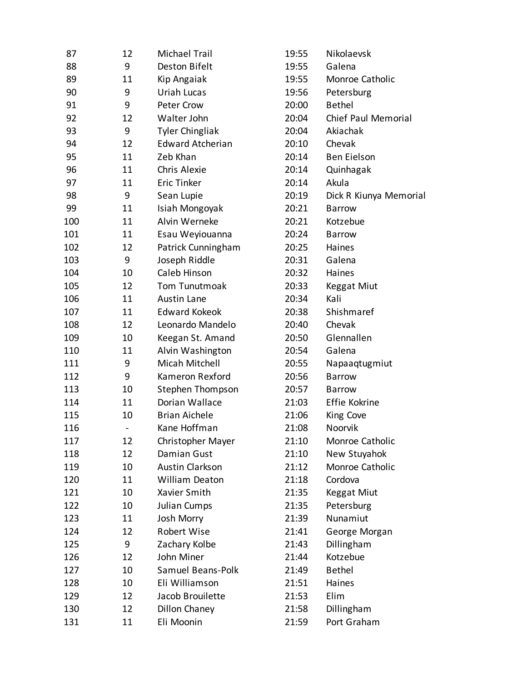| 87  | 12 | Michael Trail           | 19:55 | Nikolaevsk             |
|-----|----|-------------------------|-------|------------------------|
| 88  | 9  | Deston Bifelt           | 19:55 | Galena                 |
| 89  | 11 | Kip Angaiak             | 19:55 | Monroe Catholic        |
| 90  | 9  | Uriah Lucas             | 19:56 | Petersburg             |
| 91  | 9  | Peter Crow              | 20:00 | <b>Bethel</b>          |
| 92  | 12 | Walter John             | 20:04 | Chief Paul Memorial    |
| 93  | 9  | <b>Tyler Chingliak</b>  | 20:04 | Akiachak               |
| 94  | 12 | <b>Edward Atcherian</b> | 20:10 | Chevak                 |
| 95  | 11 | Zeb Khan                | 20:14 | <b>Ben Eielson</b>     |
| 96  | 11 | Chris Alexie            | 20:14 | Quinhagak              |
| 97  | 11 | <b>Eric Tinker</b>      | 20:14 | Akula                  |
| 98  | 9  | Sean Lupie              | 20:19 | Dick R Kiunya Memorial |
| 99  | 11 | Isiah Mongoyak          | 20:21 | <b>Barrow</b>          |
| 100 | 11 | Alvin Werneke           | 20:21 | Kotzebue               |
| 101 | 11 | Esau Weyiouanna         | 20:24 | <b>Barrow</b>          |
| 102 | 12 | Patrick Cunningham      | 20:25 | Haines                 |
| 103 | 9  | Joseph Riddle           | 20:31 | Galena                 |
| 104 | 10 | Caleb Hinson            | 20:32 | Haines                 |
| 105 | 12 | Tom Tunutmoak           | 20:33 | <b>Keggat Miut</b>     |
| 106 | 11 | Austin Lane             | 20:34 | Kali                   |
| 107 | 11 | <b>Edward Kokeok</b>    | 20:38 | Shishmaref             |
| 108 | 12 | Leonardo Mandelo        | 20:40 | Chevak                 |
| 109 | 10 | Keegan St. Amand        | 20:50 | Glennallen             |
| 110 | 11 | Alvin Washington        | 20:54 | Galena                 |
| 111 | 9  | Micah Mitchell          | 20:55 | Napaaqtugmiut          |
| 112 | 9  | Kameron Rexford         | 20:56 | <b>Barrow</b>          |
| 113 | 10 | Stephen Thompson        | 20:57 | <b>Barrow</b>          |
| 114 | 11 | Dorian Wallace          | 21:03 | Effie Kokrine          |
| 115 | 10 | <b>Brian Aichele</b>    | 21:06 | King Cove              |
| 116 |    | Kane Hoffman            | 21:08 | Noorvik                |
| 117 | 12 | Christopher Mayer       | 21:10 | Monroe Catholic        |
| 118 | 12 | Damian Gust             | 21:10 | New Stuyahok           |
| 119 | 10 | <b>Austin Clarkson</b>  | 21:12 | Monroe Catholic        |
| 120 | 11 | <b>William Deaton</b>   | 21:18 | Cordova                |
| 121 | 10 | Xavier Smith            | 21:35 | <b>Keggat Miut</b>     |
| 122 | 10 | Julian Cumps            | 21:35 | Petersburg             |
| 123 | 11 | Josh Morry              | 21:39 | Nunamiut               |
| 124 | 12 | Robert Wise             | 21:41 | George Morgan          |
| 125 | 9  | Zachary Kolbe           | 21:43 | Dillingham             |
| 126 | 12 | John Miner              | 21:44 | Kotzebue               |
| 127 | 10 | Samuel Beans-Polk       | 21:49 | <b>Bethel</b>          |
| 128 | 10 | Eli Williamson          | 21:51 | Haines                 |
| 129 | 12 | Jacob Brouilette        | 21:53 | Elim                   |
| 130 | 12 | Dillon Chaney           | 21:58 | Dillingham             |
| 131 | 11 | Eli Moonin              | 21:59 | Port Graham            |